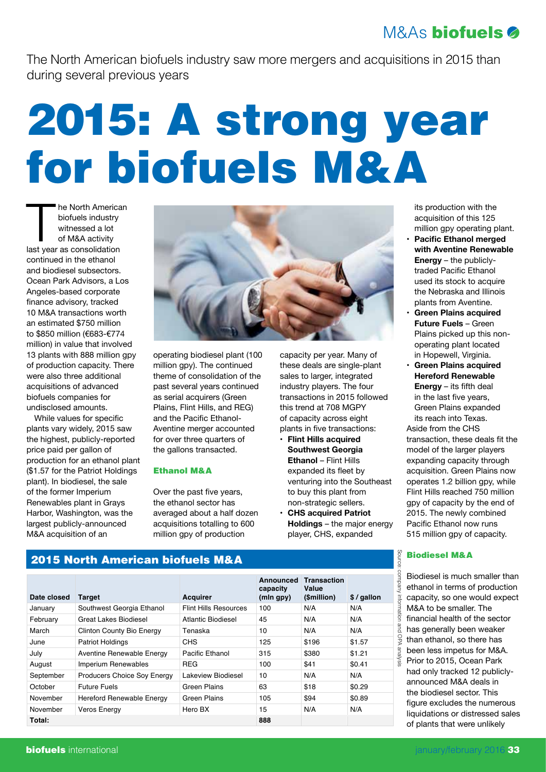# M&As biofuels

The North American biofuels industry saw more mergers and acquisitions in 2015 than during several previous years

# 2015: A strong year for biofuels M&A

The North America<br>
biofuels industry<br>
witnessed a lot<br>
of M&A activity<br>
last year as consolidation he North American biofuels industry witnessed a lot of M&A activity continued in the ethanol and biodiesel subsectors. Ocean Park Advisors, a Los Angeles-based corporate finance advisory, tracked 10 M&A transactions worth an estimated \$750 million to \$850 million (€683-€774 million) in value that involved 13 plants with 888 million gpy of production capacity. There were also three additional acquisitions of advanced biofuels companies for undisclosed amounts.

While values for specific plants vary widely, 2015 saw the highest, publicly-reported price paid per gallon of production for an ethanol plant (\$1.57 for the Patriot Holdings plant). In biodiesel, the sale of the former Imperium Renewables plant in Grays Harbor, Washington, was the largest publicly-announced M&A acquisition of an



operating biodiesel plant (100 million gpy). The continued theme of consolidation of the past several years continued as serial acquirers (Green Plains, Flint Hills, and REG) and the Pacific Ethanol-Aventine merger accounted for over three quarters of the gallons transacted.

#### Ethanol M&A

Over the past five years, the ethanol sector has averaged about a half dozen acquisitions totalling to 600 million gpy of production

capacity per year. Many of these deals are single-plant sales to larger, integrated industry players. The four transactions in 2015 followed this trend at 708 MGPY of capacity across eight plants in five transactions:

- **• Flint Hills acquired Southwest Georgia Ethanol** – Flint Hills expanded its fleet by venturing into the Southeast to buy this plant from non-strategic sellers.
- **CHS acquired Patriot Holdings** – the major energy player, CHS, expanded

its production with the acquisition of this 125 million gpy operating plant.

- **Pacific Ethanol merged with Aventine Renewable Energy** – the publiclytraded Pacific Ethanol used its stock to acquire the Nebraska and Illinois plants from Aventine.
- **• Green Plains acquired Future Fuels** – Green Plains picked up this nonoperating plant located in Hopewell, Virginia.
- **• Green Plains acquired Hereford Renewable Energy** – its fifth deal in the last five years, Green Plains expanded its reach into Texas.

Aside from the CHS transaction, these deals fit the model of the larger players expanding capacity through acquisition. Green Plains now operates 1.2 billion gpy, while Flint Hills reached 750 million gpy of capacity by the end of 2015. The newly combined Pacific Ethanol now runs 515 million gpy of capacity.

### Biodiesel M&A

Source: company information and OPA analysis

issi

source

Biodiesel is much smaller than ethanol in terms of production capacity, so one would expect M&A to be smaller. The financial health of the sector has generally been weaker  $\frac{Q}{V}$  than ethanol, so there has been less impetus for M&A. Prior to 2015, Ocean Park had only tracked 12 publiclyannounced M&A deals in the biodiesel sector. This figure excludes the numerous liquidations or distressed sales of plants that were unlikely

# 2015 North American biofuels M&A

| Date closed | Target                             | <b>Acquirer</b>              | Announced<br>capacity<br>(mln qpy) | <b>Transaction</b><br>Value<br>(\$million) | $$$ / gallon |
|-------------|------------------------------------|------------------------------|------------------------------------|--------------------------------------------|--------------|
| January     | Southwest Georgia Ethanol          | <b>Flint Hills Resources</b> | 100                                | N/A                                        | N/A          |
| February    | Great Lakes Biodiesel              | Atlantic Biodiesel           | 45                                 | N/A                                        | N/A          |
| March       | <b>Clinton County Bio Energy</b>   | Tenaska                      | 10                                 | N/A                                        | N/A          |
| June        | <b>Patriot Holdings</b>            | CHS                          | 125                                | \$196                                      | \$1.57       |
| July        | Aventine Renewable Energy          | Pacific Ethanol              | 315                                | \$380                                      | \$1.21       |
| August      | Imperium Renewables                | <b>REG</b>                   | 100                                | \$41                                       | \$0.41       |
| September   | <b>Producers Choice Soy Energy</b> | Lakeview Biodiesel           | 10                                 | N/A                                        | N/A          |
| October     | <b>Future Fuels</b>                | Green Plains                 | 63                                 | \$18                                       | \$0.29       |
| November    | Hereford Renewable Energy          | <b>Green Plains</b>          | 105                                | \$94                                       | \$0.89       |
| November    | <b>Veros Energy</b>                | Hero BX                      | 15                                 | N/A                                        | N/A          |
| Total:      |                                    |                              | 888                                |                                            |              |